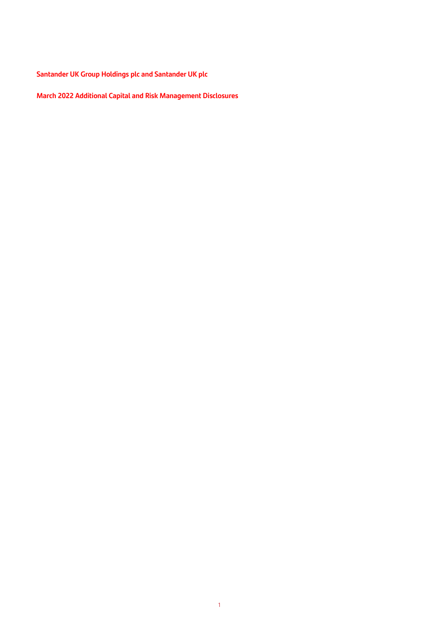**Santander UK Group Holdings plc and Santander UK plc**

**March 2022 Additional Capital and Risk Management Disclosures**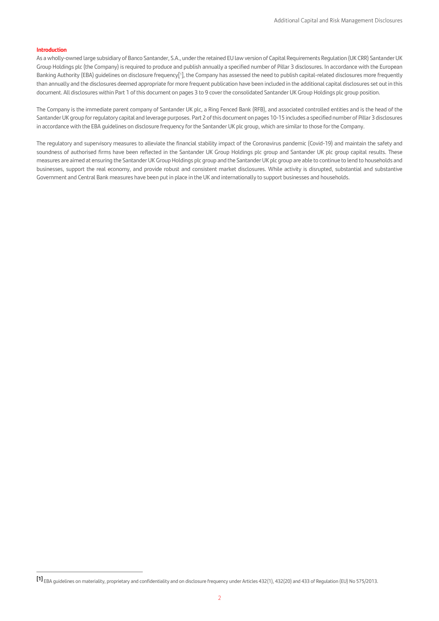#### **Introduction**

As a wholly-owned large subsidiary of Banco Santander, S.A., under the retained EU law version of Capital Requirements Regulation (UK CRR) Santander UK Group Holdings plc (the Company) is required to produce and publish annually a specified number of Pillar 3 disclosures. In accordance with the European Banking Authority (EBA) guidelines on disclosure frequency[1], the Company has assessed the need to publish capital-related disclosures more frequently than annually and the disclosures deemed appropriate for more frequent publication have been included in the additional capital disclosures set out in this document. All disclosures within Part 1 of this document on pages 3 to 9 cover the consolidated Santander UK Group Holdings plc group position.

The Company is the immediate parent company of Santander UK plc, a Ring Fenced Bank (RFB), and associated controlled entities and is the head of the Santander UK group for regulatory capital and leverage purposes. Part 2 of this document on pages 10-15 includes a specified number of Pillar 3 disclosures in accordance with the EBA guidelines on disclosure frequency for the Santander UK plc group, which are similar to those for the Company.

The regulatory and supervisory measures to alleviate the financial stability impact of the Coronavirus pandemic (Covid-19) and maintain the safety and soundness of authorised firms have been reflected in the Santander UK Group Holdings plc group and Santander UK plc group capital results. These measures are aimed at ensuring the Santander UK Group Holdings plc group and the Santander UK plc group are able to continue to lend to households and businesses, support the real economy, and provide robust and consistent market disclosures. While activity is disrupted, substantial and substantive Government and Central Bank measures have been put in place in the UK and internationally to support businesses and households.

**<sup>[1]</sup>** EBA guidelines on materiality, proprietary and confidentiality and on disclosure frequency under Articles 432(1), 432(20) and 433 of Regulation (EU) No 575/2013.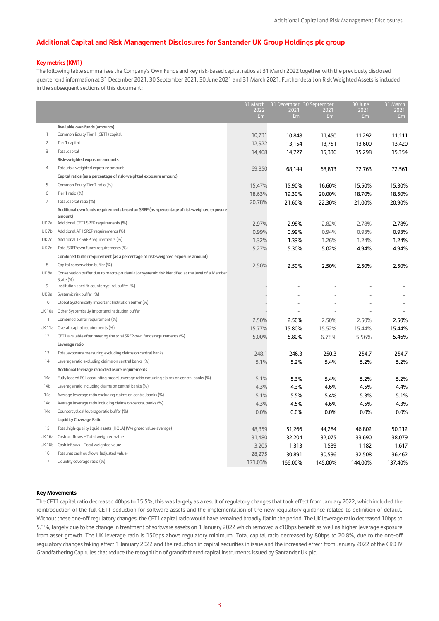## **Additional Capital and Risk Management Disclosures for Santander UK Group Holdings plc group**

### **Key metrics (KM1)**

The following table summarises the Company's Own Funds and key risk-based capital ratios at 31 March 2022 together with the previously disclosed quarter end information at 31 December 2021, 30 September 2021, 30 June 2021 and 31 March 2021. Further detail on Risk Weighted Assets is included in the subsequent sections of this document:

|                |                                                                                                               | 31 March   | 31 December 30 September |            | 30 June    | 31 March   |
|----------------|---------------------------------------------------------------------------------------------------------------|------------|--------------------------|------------|------------|------------|
|                |                                                                                                               | 2022<br>Em | 2021<br>Em               | 2021<br>Em | 2021<br>Em | 2021<br>Em |
|                |                                                                                                               |            |                          |            |            |            |
|                | Available own funds (amounts)                                                                                 |            |                          |            |            |            |
| 1              | Common Equity Tier 1 (CET1) capital                                                                           | 10,731     | 10,848                   | 11,450     | 11,292     | 11,111     |
| $\overline{c}$ | Tier 1 capital                                                                                                | 12,922     | 13,154                   | 13,751     | 13,600     | 13,420     |
| 3              | Total capital                                                                                                 | 14,408     | 14,727                   | 15,336     | 15,298     | 15,154     |
|                | Risk-weighted exposure amounts                                                                                |            |                          |            |            |            |
| 4              | Total risk-weighted exposure amount                                                                           | 69,350     | 68,144                   | 68,813     | 72,763     | 72,561     |
|                | Capital ratios (as a percentage of risk-weighted exposure amount)                                             |            |                          |            |            |            |
| 5              | Common Equity Tier 1 ratio (%)                                                                                | 15.47%     | 15.90%                   | 16.60%     | 15.50%     | 15.30%     |
| 6              | Tier 1 ratio (%)                                                                                              | 18.63%     | 19.30%                   | 20.00%     | 18.70%     | 18.50%     |
| $\overline{7}$ | Total capital ratio (%)                                                                                       | 20.78%     | 21.60%                   | 22.30%     | 21.00%     | 20.90%     |
|                | Additional own funds requirements based on SREP (as a percentage of risk-weighted exposure<br>amount)         |            |                          |            |            |            |
| UK7a           | Additional CET1 SREP requirements (%)                                                                         | 2.97%      | 2.98%                    | 2.82%      | 2.78%      | 2.78%      |
| UK7b           | Additional AT1 SREP requirements (%)                                                                          | 0.99%      | 0.99%                    | 0.94%      | 0.93%      | 0.93%      |
| UK7c           | Additional T2 SREP requirements (%)                                                                           | 1.32%      | 1.33%                    | 1.26%      | 1.24%      | 1.24%      |
| UK7d           | Total SREP own funds requirements (%)                                                                         | 5.27%      | 5.30%                    | 5.02%      | 4.94%      | 4.94%      |
|                | Combined buffer requirement (as a percentage of risk-weighted exposure amount)                                |            |                          |            |            |            |
| 8              | Capital conservation buffer (%)                                                                               | 2.50%      | 2.50%                    | 2.50%      | 2.50%      | 2.50%      |
| UK8a           | Conservation buffer due to macro-prudential or systemic risk identified at the level of a Member<br>State (%) |            |                          |            |            |            |
| 9              | Institution specific countercyclical buffer (%)                                                               |            |                          |            |            |            |
| UK 9a          | Systemic risk buffer (%)                                                                                      |            |                          |            |            |            |
| 10             | Global Systemically Important Institution buffer (%)                                                          |            |                          |            |            |            |
| <b>UK10a</b>   | Other Systemically Important Institution buffer                                                               |            |                          |            |            |            |
| 11             | Combined buffer requirement (%)                                                                               | 2.50%      | 2.50%                    | 2.50%      | 2.50%      | 2.50%      |
| UK 11a         | Overall capital requirements (%)                                                                              | 15.77%     | 15.80%                   | 15.52%     | 15.44%     | 15.44%     |
| 12             | CET1 available after meeting the total SREP own funds requirements (%)                                        | 5.00%      | 5.80%                    | 6.78%      | 5.56%      | 5.46%      |
|                | Leverage ratio                                                                                                |            |                          |            |            |            |
| 13             | Total exposure measuring excluding claims on central banks                                                    | 248.1      | 246.3                    | 250.3      | 254.7      | 254.7      |
| 14             | Leverage ratio excluding claims on central banks (%)                                                          | 5.1%       | 5.2%                     | 5.4%       | 5.2%       | 5.2%       |
|                | Additional leverage ratio disclosure requirements                                                             |            |                          |            |            |            |
| 14a            | Fully loaded ECL accounting model leverage ratio excluding claims on central banks (%)                        | 5.1%       | 5.3%                     | 5.4%       | 5.2%       | 5.2%       |
| 14b            | Leverage ratio including claims on central banks (%)                                                          | 4.3%       | 4.3%                     | 4.6%       | 4.5%       | 4.4%       |
| 14с            | Average leverage ratio excluding claims on central banks (%)                                                  | 5.1%       | 5.5%                     | 5.4%       | 5.3%       | 5.1%       |
| 14d            | Average leverage ratio including claims on central banks (%)                                                  | 4.3%       | 4.5%                     | 4.6%       | 4.5%       | 4.3%       |
| 14e            | Countercyclical leverage ratio buffer (%)                                                                     | 0.0%       | 0.0%                     | 0.0%       | 0.0%       | 0.0%       |
|                | <b>Liquidity Coverage Ratio</b>                                                                               |            |                          |            |            |            |
| 15             | Total high-quality liquid assets (HQLA) (Weighted value-average)                                              | 48,359     | 51,266                   | 44,284     | 46,802     | 50,112     |
| UK 16a         | Cash outflows - Total weighted value                                                                          | 31,480     | 32,204                   | 32,075     | 33,690     | 38,079     |
| <b>UK16b</b>   | Cash inflows - Total weighted value                                                                           | 3,205      | 1.313                    | 1,539      | 1,182      | 1,617      |
| 16             | Total net cash outflows (adjusted value)                                                                      | 28,275     | 30,891                   | 30,536     | 32,508     | 36,462     |
| 17             | Liquidity coverage ratio (%)                                                                                  | 171.03%    | 166.00%                  | 145.00%    | 144.00%    | 137.40%    |

#### **Key Movements**

The CET1 capital ratio decreased 40bps to 15.5%, this was largely as a result of regulatory changes that took effect from January 2022, which included the reintroduction of the full CET1 deduction for software assets and the implementation of the new regulatory guidance related to definition of default. Without these one-off regulatory changes, the CET1 capital ratio would have remained broadly flat in the period. The UK leverage ratio decreased 10bps to 5.1%, largely due to the change in treatment of software assets on 1 January 2022 which removed a c10bps benefit as well as higher leverage exposure from asset growth. The UK leverage ratio is 150bps above regulatory minimum. Total capital ratio decreased by 80bps to 20.8%, due to the one-off regulatory changes taking effect 1 January 2022 and the reduction in capital securities in issue and the increased effect from January 2022 of the CRD IV Grandfathering Cap rules that reduce the recognition of grandfathered capital instruments issued by Santander UK plc.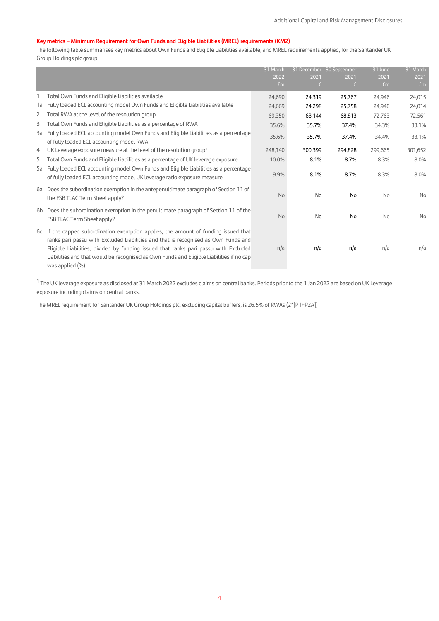# **Key metrics – Minimum Requirement for Own Funds and Eligible Liabilities (MREL) requirements (KM2)**

The following table summarises key metrics about Own Funds and Eligible Liabilities available, and MREL requirements applied, for the Santander UK Group Holdings plc group:

|    |                                                                                                                                                                                                                                                                                                                                                                                    | 31 March<br>2022<br>Em | 2021<br>£ | 31 December 30 September<br>2021<br>£ | 31 June<br>2021<br>fm | 31 March<br>2021<br>f <sub>m</sub> |
|----|------------------------------------------------------------------------------------------------------------------------------------------------------------------------------------------------------------------------------------------------------------------------------------------------------------------------------------------------------------------------------------|------------------------|-----------|---------------------------------------|-----------------------|------------------------------------|
|    | Total Own Funds and Eligible Liabilities available                                                                                                                                                                                                                                                                                                                                 | 24,690                 | 24,319    | 25,767                                | 24,946                | 24,015                             |
| 1a | Fully loaded ECL accounting model Own Funds and Eligible Liabilities available                                                                                                                                                                                                                                                                                                     | 24,669                 | 24,298    | 25,758                                | 24,940                | 24,014                             |
| 2  | Total RWA at the level of the resolution group                                                                                                                                                                                                                                                                                                                                     | 69,350                 | 68,144    | 68,813                                | 72,763                | 72,561                             |
| 3  | Total Own Funds and Eligible Liabilities as a percentage of RWA                                                                                                                                                                                                                                                                                                                    | 35.6%                  | 35.7%     | 37.4%                                 | 34.3%                 | 33.1%                              |
| 3a | Fully loaded ECL accounting model Own Funds and Eligible Liabilities as a percentage<br>of fully loaded ECL accounting model RWA                                                                                                                                                                                                                                                   | 35.6%                  | 35.7%     | 37.4%                                 | 34.4%                 | 33.1%                              |
| 4  | UK Leverage exposure measure at the level of the resolution group <sup>1</sup>                                                                                                                                                                                                                                                                                                     | 248,140                | 300,399   | 294,828                               | 299,665               | 301,652                            |
| 5  | Total Own Funds and Eligible Liabilities as a percentage of UK leverage exposure                                                                                                                                                                                                                                                                                                   | 10.0%                  | 8.1%      | 8.7%                                  | 8.3%                  | 8.0%                               |
|    | 5a Fully loaded ECL accounting model Own Funds and Eligible Liabilities as a percentage<br>of fully loaded ECL accounting model UK leverage ratio exposure measure                                                                                                                                                                                                                 | 9.9%                   | 8.1%      | 8.7%                                  | 8.3%                  | 8.0%                               |
| 6a | Does the subordination exemption in the antepenultimate paragraph of Section 11 of<br>the FSB TLAC Term Sheet apply?                                                                                                                                                                                                                                                               | <b>No</b>              | <b>No</b> | No                                    | <b>No</b>             | No                                 |
| 6b | Does the subordination exemption in the penultimate paragraph of Section 11 of the<br>FSB TLAC Term Sheet apply?                                                                                                                                                                                                                                                                   | <b>No</b>              | <b>No</b> | <b>No</b>                             | <b>No</b>             | No                                 |
|    | 6c If the capped subordination exemption applies, the amount of funding issued that<br>ranks pari passu with Excluded Liabilities and that is recognised as Own Funds and<br>Eligible Liabilities, divided by funding issued that ranks pari passu with Excluded<br>Liabilities and that would be recognised as Own Funds and Eligible Liabilities if no cap<br>was applied $(\%)$ | n/a                    | n/a       | n/a                                   | n/a                   | n/a                                |

**<sup>1</sup>** The UK leverage exposure as disclosed at 31 March 2022 excludes claims on central banks. Periods prior to the 1 Jan 2022 are based on UK Leverage exposure including claims on central banks.

The MREL requirement for Santander UK Group Holdings plc, excluding capital buffers, is 26.5% of RWAs (2\*[P1+P2A])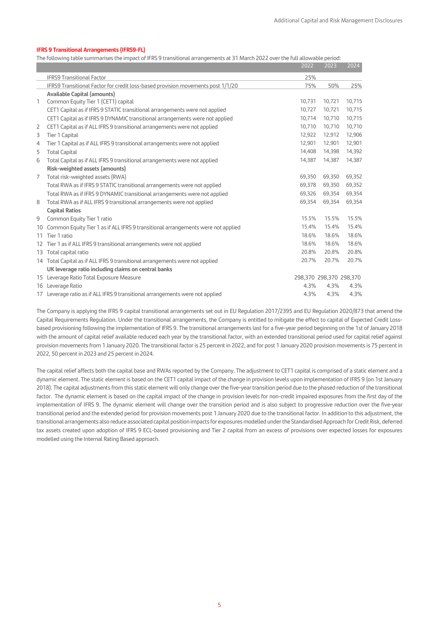### **IFRS 9 Transitional Arrangements (IFRS9-FL)**

The following table summarises the impact of IFRS 9 transitional arrangements at 31 March 2022 over the full allowable period:

|                |                                                                                  | 2022   | 2023                    | 2024   |
|----------------|----------------------------------------------------------------------------------|--------|-------------------------|--------|
|                | <b>IFRS9 Transitional Factor</b>                                                 | 25%    |                         |        |
|                | IFRS9 Transitional Factor for credit loss-based provision movements post 1/1/20  | 75%    | 50%                     | 25%    |
|                | <b>Available Capital (amounts)</b>                                               |        |                         |        |
| 1              | Common Equity Tier 1 (CET1) capital                                              | 10,731 | 10,721                  | 10,715 |
|                | CET1 Capital as if IFRS 9 STATIC transitional arrangements were not applied      | 10.727 | 10,721                  | 10,715 |
|                | CET1 Capital as if IFRS 9 DYNAMIC transitional arrangements were not applied     | 10,714 | 10,710                  | 10,715 |
| 2              | CET1 Capital as if ALL IFRS 9 transitional arrangements were not applied         | 10,710 | 10,710                  | 10,710 |
| 3              | Tier 1 Capital                                                                   | 12.922 | 12,912                  | 12,906 |
| $\overline{4}$ | Tier 1 Capital as if ALL IFRS 9 transitional arrangements were not applied       | 12,901 | 12,901                  | 12,901 |
| 5              | <b>Total Capital</b>                                                             | 14,408 | 14,398                  | 14,392 |
| 6              | Total Capital as if ALL IFRS 9 transitional arrangements were not applied        | 14,387 | 14,387                  | 14,387 |
|                | Risk-weighted assets (amounts)                                                   |        |                         |        |
| 7              | Total risk-weighted assets (RWA)                                                 | 69,350 | 69,350                  | 69,352 |
|                | Total RWA as if IFRS 9 STATIC transitional arrangements were not applied         | 69,378 | 69,350                  | 69,352 |
|                | Total RWA as if IFRS 9 DYNAMIC transitional arrangements were not applied        | 69,326 | 69,354                  | 69,354 |
| 8              | Total RWA as if ALL IFRS 9 transitional arrangements were not applied            | 69.354 | 69,354                  | 69,354 |
|                | <b>Capital Ratios</b>                                                            |        |                         |        |
| 9              | Common Equity Tier 1 ratio                                                       | 15.5%  | 15.5%                   | 15.5%  |
| 10             | Common Equity Tier 1 as if ALL IFRS 9 transitional arrangements were not applied | 15.4%  | 15.4%                   | 15.4%  |
| 11             | Tier 1 ratio                                                                     | 18.6%  | 18.6%                   | 18.6%  |
|                | 12 Tier 1 as if ALL IFRS 9 transitional arrangements were not applied            | 18.6%  | 18.6%                   | 18.6%  |
|                | 13 Total capital ratio                                                           | 20.8%  | 20.8%                   | 20.8%  |
|                | 14 Total Capital as if ALL IFRS 9 transitional arrangements were not applied     | 20.7%  | 20.7%                   | 20.7%  |
|                | UK leverage ratio including claims on central banks                              |        |                         |        |
|                | 15 Leverage Ratio Total Exposure Measure                                         |        | 298,370 298,370 298,370 |        |
|                | 16 Leverage Ratio                                                                | 4.3%   | 4.3%                    | 4.3%   |
|                | 17 Leverage ratio as if ALL IFRS 9 transitional arrangements were not applied    | 4.3%   | 4.3%                    | 4.3%   |

The Company is applying the IFRS 9 capital transitional arrangements set out in EU Regulation 2017/2395 and EU Regulation 2020/873 that amend the Capital Requirements Regulation. Under the transitional arrangements, the Company is entitled to mitigate the effect to capital of Expected Credit Lossbased provisioning following the implementation of IFRS 9. The transitional arrangements last for a five-year period beginning on the 1st of January 2018 with the amount of capital relief available reduced each year by the transitional factor, with an extended transitional period used for capital relief against provision movements from 1 January 2020. The transitional factor is 25 percent in 2022, and for post 1 January 2020 provision movements is 75 percent in 2022, 50 percent in 2023 and 25 percent in 2024.

The capital relief affects both the capital base and RWAs reported by the Company. The adjustment to CET1 capital is comprised of a static element and a dynamic element. The static element is based on the CET1 capital impact of the change in provision levels upon implementation of IFRS 9 (on 1st January 2018). The capital adjustments from this static element will only change over the five-year transition period due to the phased reduction of the transitional factor. The dynamic element is based on the capital impact of the change in provision levels for non-credit impaired exposures from the first day of the implementation of IFRS 9. The dynamic element will change over the transition period and is also subject to progressive reduction over the five-year transitional period and the extended period for provision movements post 1 January 2020 due to the transitional factor. In addition to this adjustment, the transitional arrangements also reduce associated capital position impacts for exposures modelled underthe Standardised Approach for Credit Risk, deferred tax assets created upon adoption of IFRS 9 ECL-based provisioning and Tier 2 capital from an excess of provisions over expected losses for exposures modelled using the Internal Rating Based approach.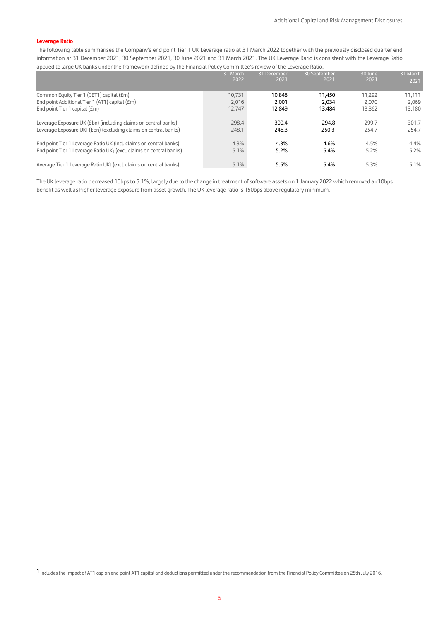### **Leverage Ratio**

The following table summarises the Company's end point Tier 1 UK Leverage ratio at 31 March 2022 together with the previously disclosed quarter end information at 31 December 2021, 30 September 2021, 30 June 2021 and 31 March 2021. The UK Leverage Ratio is consistent with the Leverage Ratio applied to large UK banks under the framework defined by the Financial Policy Committee's review of the Leverage Ratio.

|                                                                     | 31 March<br>2022 | 31 December<br>2021 | 30 September<br>2021 | 30 June<br>2021 | 31 March<br>2021 |
|---------------------------------------------------------------------|------------------|---------------------|----------------------|-----------------|------------------|
|                                                                     |                  |                     |                      |                 |                  |
| Common Equity Tier 1 (CET1) capital (£m)                            | 10.731           | 10.848              | 11.450               | 11.292          | 11.111           |
| End point Additional Tier 1 (AT1) capital (£m)                      | 2,016            | 2,001               | 2.034                | 2.070           | 2,069            |
| End point Tier 1 capital $(fm)$                                     | 12.747           | 12,849              | 13.484               | 13,362          | 13,180           |
|                                                                     |                  |                     |                      |                 |                  |
| Leverage Exposure UK (£bn) (including claims on central banks)      | 298.4            | 300.4               | 294.8                | 299.7           | 301.7            |
| Leverage Exposure UK1 (£bn) (excluding claims on central banks)     | 248.1            | 246.3               | 250.3                | 254.7           | 254.7            |
|                                                                     |                  |                     |                      |                 |                  |
| End point Tier 1 Leverage Ratio UK (incl. claims on central banks)  | 4.3%             | 4.3%                | 4.6%                 | 4.5%            | 4.4%             |
| End point Tier 1 Leverage Ratio UK1 (excl. claims on central banks) | 5.1%             | 5.2%                | 5.4%                 | 5.2%            | 5.2%             |
|                                                                     |                  |                     |                      |                 |                  |
| Average Tier 1 Leverage Ratio UK1 (excl. claims on central banks)   | 5.1%             | 5.5%                | 5.4%                 | 5.3%            | 5.1%             |

The UK leverage ratio decreased 10bps to 5.1%, largely due to the change in treatment of software assets on 1 January 2022 which removed a c10bps benefit as well as higher leverage exposure from asset growth. The UK leverage ratio is 150bps above regulatory minimum.

**1** Includes the impact of AT1 cap on end point AT1 capital and deductions permitted under the recommendation from the Financial Policy Committee on 25th July 2016.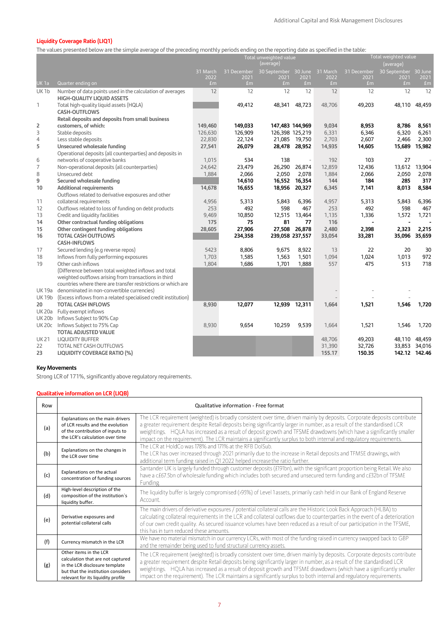## **Liquidity Coverage Ratio (LIQ1)**

The values presented below are the simple average of the preceding monthly periods ending on the reporting date as specified in the table:

|                  |                                                                    | Total unweighted value<br>(average) |                        |                               | Total weighted value<br>(average) |            |                        |                        |                        |
|------------------|--------------------------------------------------------------------|-------------------------------------|------------------------|-------------------------------|-----------------------------------|------------|------------------------|------------------------|------------------------|
|                  |                                                                    | 31 March                            | 31 December            | 30 September 30 June 31 March |                                   |            | 31 December            | 30 September 30 June   |                        |
| <b>UK 1a</b>     | Quarter ending on                                                  | 2022<br>fm                          | 2021<br>f <sub>m</sub> | 2021<br>fm                    | 2021<br>fm                        | 2022<br>Em | 2021<br>f <sub>m</sub> | 2021<br>f <sub>m</sub> | 2021<br>f <sub>m</sub> |
| UK <sub>1b</sub> | Number of data points used in the calculation of averages          | 12                                  | 12                     | 12                            | 12                                | 12         | 12                     | 12                     | 12                     |
|                  | <b>HIGH-QUALITY LIQUID ASSETS</b>                                  |                                     |                        |                               |                                   |            |                        |                        |                        |
| 1                | Total high-quality liquid assets (HQLA)                            |                                     | 49,412                 | 48,341                        | 48,723                            | 48,706     | 49,203                 | 48,110                 | 48,459                 |
|                  | <b>CASH-OUTFLOWS</b>                                               |                                     |                        |                               |                                   |            |                        |                        |                        |
|                  | Retail deposits and deposits from small business                   |                                     |                        |                               |                                   |            |                        |                        |                        |
| 2                | customers, of which:                                               | 149,460                             | 149,033                | 147,483 144,969               |                                   | 9,034      | 8,953                  | 8,786                  | 8,561                  |
| 3                | Stable deposits                                                    | 126,630                             | 126,909                | 126,398 125,219               |                                   | 6,331      | 6,346                  | 6,320                  | 6,261                  |
| 4                | Less stable deposits                                               | 22,830                              | 22,124                 |                               | 21,085 19,750                     | 2,703      | 2,607                  | 2,466                  | 2,300                  |
| 5                | Unsecured wholesale funding                                        | 27,541                              | 26,079                 |                               | 28,478 28,952                     | 14,935     | 14,605                 | 15,689                 | 15,982                 |
|                  | Operational deposits (all counterparties) and deposits in          |                                     |                        |                               |                                   |            |                        |                        |                        |
| 6                | networks of cooperative banks                                      | 1,015                               | 534                    | 138                           | $\sim$                            | 192        | 103                    | 27                     |                        |
| 7                | Non-operational deposits (all counterparties)                      | 24,642                              | 23,479                 | 26,290                        | 26,874                            | 12,859     | 12,436                 | 13,612                 | 13,904                 |
| 8                | Unsecured debt                                                     | 1,884                               | 2,066                  | 2,050                         | 2,078                             | 1,884      | 2,066                  | 2,050                  | 2,078                  |
| 9                | Secured wholesale funding                                          |                                     | 14,610                 | 16,552                        | 16,354                            | 144        | 184                    | 285                    | 317                    |
| 10               | <b>Additional requirements</b>                                     | 14,678                              | 16,655                 | 18,956                        | 20,327                            | 6,345      | 7,141                  | 8,013                  | 8,584                  |
|                  | Outflows related to derivative exposures and other                 |                                     |                        |                               |                                   |            |                        |                        |                        |
| 11               | collateral requirements                                            | 4,956                               | 5,313                  | 5,843                         | 6,396                             | 4,957      | 5,313                  | 5,843                  | 6,396                  |
| 12               | Outflows related to loss of funding on debt products               | 253                                 | 492                    | 598                           | 467                               | 253        | 492                    | 598                    | 467                    |
| 13               | Credit and liquidity facilities                                    | 9,469                               | 10,850                 | 12,515                        | 13,464                            | 1,135      | 1,336                  | 1,572                  | 1,721                  |
| 14               | Other contractual funding obligations                              | 175                                 | 75                     | 81                            | 77<br>26.878                      | 116        |                        |                        |                        |
| 15               | Other contingent funding obligations<br><b>TOTAL CASH OUTFLOWS</b> | 28,605                              | 27,906                 | 27,508                        |                                   | 2,480      | 2,398                  | 2,323                  | 2,215<br>35,096 35,659 |
| 16               | <b>CASH-INFLOWS</b>                                                |                                     | 234,358                | 239,058 237,557               |                                   | 33,054     | 33,281                 |                        |                        |
| 17               | Secured lending (e.g reverse repos)                                | 5423                                | 8,806                  | 9,675                         | 8,922                             | 13         | 22                     | 20                     | 30                     |
| 18               | Inflows from fully performing exposures                            | 1,703                               | 1,585                  | 1,563                         | 1,501                             | 1,094      | 1,024                  | 1,013                  | 972                    |
| 19               | Other cash inflows                                                 | 1,804                               | 1,686                  | 1,701                         | 1,888                             | 557        | 475                    | 513                    | 718                    |
|                  | (Difference between total weighted inflows and total               |                                     |                        |                               |                                   |            |                        |                        |                        |
|                  | weighted outflows arising from transactions in third               |                                     |                        |                               |                                   |            |                        |                        |                        |
|                  | countries where there are transfer restrictions or which are       |                                     |                        |                               |                                   |            |                        |                        |                        |
| <b>UK19a</b>     | denominated in non-convertible currencies)                         |                                     |                        |                               |                                   |            |                        |                        |                        |
| <b>UK19b</b>     | (Excess inflows from a related specialised credit institution)     |                                     |                        |                               |                                   |            |                        |                        |                        |
| 20               | <b>TOTAL CASH INFLOWS</b>                                          | 8,930                               | 12,077                 | 12,939                        | 12,311                            | 1,664      | 1,521                  | 1,546                  | 1,720                  |
| <b>UK20a</b>     | Fully exempt inflows                                               |                                     |                        |                               |                                   |            |                        |                        |                        |
| <b>UK20b</b>     | Inflows Subject to 90% Cap                                         |                                     |                        |                               |                                   |            |                        |                        |                        |
| <b>UK20c</b>     | Inflows Subject to 75% Cap                                         | 8,930                               | 9,654                  | 10,259                        | 9,539                             | 1,664      | 1,521                  | 1,546                  | 1,720                  |
|                  | <b>TOTAL ADJUSTED VALUE</b>                                        |                                     |                        |                               |                                   |            |                        |                        |                        |
| <b>UK21</b>      | <b>LIQUIDITY BUFFER</b>                                            |                                     |                        |                               |                                   | 48,706     | 49,203                 | 48,110                 | 48,459                 |
| 22               | TOTAL NET CASH OUTFLOWS                                            |                                     |                        |                               |                                   | 31,390     | 32,726                 | 33,853                 | 34,016                 |
| 23               | <b>LIQUIDITY COVERAGE RATIO (%)</b>                                |                                     |                        |                               |                                   | 155.17     | 150.35                 |                        | 142.12 142.46          |

## **Key Movements**

Strong LCR of 171%, significantly above regulatory requirements.

# **Qualitative information on LCR (LIQB)**

| Row |                                                                                                                                                                           | Qualitative information - Free format                                                                                                                                                                                                                                                                                                                                                                                                                                                              |
|-----|---------------------------------------------------------------------------------------------------------------------------------------------------------------------------|----------------------------------------------------------------------------------------------------------------------------------------------------------------------------------------------------------------------------------------------------------------------------------------------------------------------------------------------------------------------------------------------------------------------------------------------------------------------------------------------------|
| (a) | Explanations on the main drivers<br>of LCR results and the evolution<br>of the contribution of inputs to<br>the LCR's calculation over time                               | The LCR requirement (weighted) is broadly consistent over time, driven mainly by deposits. Corporate deposits contribute<br>a greater requirement despite Retail deposits being significantly larger in number, as a result of the standardised LCR<br>weightings. HQLA has increased as a result of deposit growth and TFSME drawdowns (which have a significantly smaller<br>impact on the requirement). The LCR maintains a significantly surplus to both internal and regulatory requirements. |
| (b) | Explanations on the changes in<br>the LCR over time                                                                                                                       | The LCR at HoldCo was 178% and 171% at the RFB DolSub.<br>The LCR has over increased through 2021 primarily due to the increase in Retail deposits and TFMSE drawings, with<br>additional term funding raised in Q1 2022 helped increase the ratio further.                                                                                                                                                                                                                                        |
| (c) | Explanations on the actual<br>concentration of funding sources                                                                                                            | Santander UK is largely funded through customer deposits (£191bn), with the significant proportion being Retail. We also<br>have a c£67.5bn of wholesale funding which includes both secured and unsecured term funding and c£32bn of TFSME<br><b>Funding</b>                                                                                                                                                                                                                                      |
| (d) | High-level description of the<br>composition of the institution's<br>liquidity buffer.                                                                                    | The liquidity buffer is largely compromised (>95%) of Level 1 assets, primarily cash held in our Bank of England Reserve<br>Account.                                                                                                                                                                                                                                                                                                                                                               |
| (e) | Derivative exposures and<br>potential collateral calls                                                                                                                    | The main drivers of derivative exposures / potential collateral calls are the Historic Look Back Approach (HLBA) to<br>calculating collateral requirements in the LCR and collateral outflows due to counterparties in the event of a deterioration<br>of our own credit quality. As secured issuance volumes have been reduced as a result of our participation in the TFSME,<br>this has in turn reduced these amounts.                                                                          |
| (f) | Currency mismatch in the LCR                                                                                                                                              | We have no material mismatch in our currency LCRs, with most of the funding raised in currency swapped back to GBP<br>and the remainder being used to fund structural currency assets.                                                                                                                                                                                                                                                                                                             |
| (g) | Other items in the LCR<br>calculation that are not captured<br>in the LCR disclosure template<br>but that the institution considers<br>relevant for its liquidity profile | The LCR requirement (weighted) is broadly consistent over time, driven mainly by deposits. Corporate deposits contribute<br>a greater requirement despite Retail deposits being significantly larger in number, as a result of the standardised LCR<br>weightings. HQLA has increased as a result of deposit growth and TFSME drawdowns (which have a significantly smaller<br>impact on the requirement). The LCR maintains a significantly surplus to both internal and regulatory requirements. |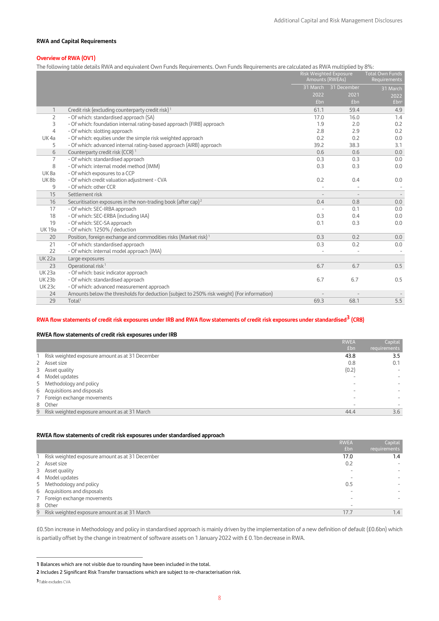#### **RWA and Capital Requirements**

### **Overview of RWA (OV1)**

The following table details RWA and equivalent Own Funds Requirements. Own Funds Requirements are calculated as RWA multiplied by 8%:

|               |                                                                                            | Amounts (RWEAs) | Risk Weighted Exposure | <b>Total Own Funds</b><br>Requirements |
|---------------|--------------------------------------------------------------------------------------------|-----------------|------------------------|----------------------------------------|
|               |                                                                                            |                 | 31 March 31 December   | 31 March                               |
|               |                                                                                            | 2022            | 2021                   | 2022                                   |
|               |                                                                                            | £bn             | <b>£bn</b>             | £bn'                                   |
| 1             | Credit risk (excluding counterparty credit risk) <sup>1</sup>                              | 61.1            | 59.4                   | 4.9                                    |
| 2             | - Of which: standardised approach (SA)                                                     | 17.0            | 16.0                   | 1.4                                    |
| 3             | - Of which: foundation internal rating-based approach (FIRB) approach                      | 1.9             | 2.0                    | 0.2                                    |
| 4             | - Of which: slotting approach                                                              | 2.8             | 2.9                    | 0.2                                    |
| UK4a          | - Of which: equities under the simple risk weighted approach                               | 0.2             | 0.2                    | 0.0                                    |
| 5             | - Of which: advanced internal rating-based approach (AIRB) approach                        | 39.2            | 38.3                   | 3.1                                    |
| 6             | Counterparty credit risk (CCR) <sup>1</sup>                                                | 0.6             | 0.6                    | 0.0                                    |
| 7             | - Of which: standardised approach                                                          | 0.3             | 0.3                    | 0.0                                    |
| 8             | - Of which: internal model method (IMM)                                                    | 0.3             | 0.3                    | 0.0                                    |
| UK8a          | - Of which exposures to a CCP                                                              |                 |                        |                                        |
| UK8b          | - Of which credit valuation adjustment - CVA                                               | 0.2             | 0.4                    | 0.0                                    |
| 9             | - Of which: other CCR                                                                      |                 |                        | $\overline{\phantom{a}}$               |
| 15            | Settlement risk                                                                            |                 |                        |                                        |
| 16            | Securitisation exposures in the non-trading book (after cap) <sup>2</sup>                  | 0.4             | 0.8                    | 0.0                                    |
| 17            | - Of which: SEC-IRBA approach                                                              |                 | 0.1                    | 0.0                                    |
| 18            | - Of which: SEC-ERBA (including IAA)                                                       | 0.3             | 0.4                    | 0.0                                    |
| 19            | - Of which: SEC-SA approach                                                                | 0.1             | 0.3                    | 0.0                                    |
| <b>UK19a</b>  | - Of which: 1250% / deduction                                                              |                 |                        |                                        |
| 20            | Position, foreign exchange and commodities risks (Market risk) <sup>1</sup>                | 0.3             | 0.2                    | 0.0                                    |
| 21            | - Of which: standardised approach                                                          | 0.3             | 0.2                    | 0.0                                    |
| 22            | - Of which: internal model approach (IMA)                                                  |                 |                        | $\overline{\phantom{a}}$               |
| <b>UK22a</b>  | Large exposures                                                                            |                 |                        |                                        |
| 23            | Operational risk <sup>1</sup>                                                              | 6.7             | 6.7                    | 0.5                                    |
| <b>UK23a</b>  | - Of which: basic indicator approach                                                       |                 |                        |                                        |
| <b>UK 23b</b> | - Of which: standardised approach                                                          | 6.7             | 6.7                    | 0.5                                    |
| <b>UK23c</b>  | - Of which: advanced measurement approach                                                  |                 |                        |                                        |
| 24            | Amounts below the thresholds for deduction (subject to 250% risk weight) (For information) |                 |                        |                                        |
| 29            | Total <sup>1</sup>                                                                         | 69.3            | 68.1                   | 5.5                                    |
|               |                                                                                            |                 |                        |                                        |

# **RWA flow statements of credit risk exposures under IRB and RWA flow statements of credit risk exposures under standardised3 (CR8)**

### **RWEA flow statements of credit risk exposures under IRB**

|                                                 | <b>RWEA</b> | Capital      |
|-------------------------------------------------|-------------|--------------|
|                                                 | <b>£bn</b>  | requirements |
| Risk weighted exposure amount as at 31 December | 43.8        | 3.5          |
| 2 Asset size                                    | 0.8         | 0.1          |
| 3 Asset quality                                 | (0.2)       |              |
| 4 Model updates                                 |             |              |
| 5 Methodology and policy                        |             |              |
| 6 Acquisitions and disposals                    |             |              |
| 7 Foreign exchange movements                    |             |              |
| 8 Other                                         |             |              |
| 9 Risk weighted exposure amount as at 31 March  | 44.4        | 3.6          |

### **RWEA flow statements of credit risk exposures under standardised approach**

|                                                 | <b>RWEA</b><br>£bn | Capital<br>requirements |
|-------------------------------------------------|--------------------|-------------------------|
| Risk weighted exposure amount as at 31 December | 17.0               | 1.4                     |
| 2 Asset size                                    | 0.2                |                         |
| 3 Asset quality                                 |                    |                         |
| 4 Model updates                                 |                    |                         |
| 5 Methodology and policy                        | 0.5                |                         |
| 6 Acquisitions and disposals                    |                    |                         |
| 7 Foreign exchange movements                    | ۰                  |                         |
| 8 Other                                         | -                  |                         |
| 9 Risk weighted exposure amount as at 31 March  | 17.7               | 1.4                     |

£0.5bn increase in Methodology and policy in standardised approach is mainly driven by the implementation of a new definition of default (£0.6bn) which is partially offset by the change in treatment of software assets on 1 January 2022 with £ 0.1bn decrease in RWA.

**<sup>1</sup>** Balances which are not visible due to rounding have been included in the total.

**<sup>2</sup>** Includes 2 Significant Risk Transfer transactions which are subject to re-characterisation risk.

<sup>3</sup> Table excludes CVA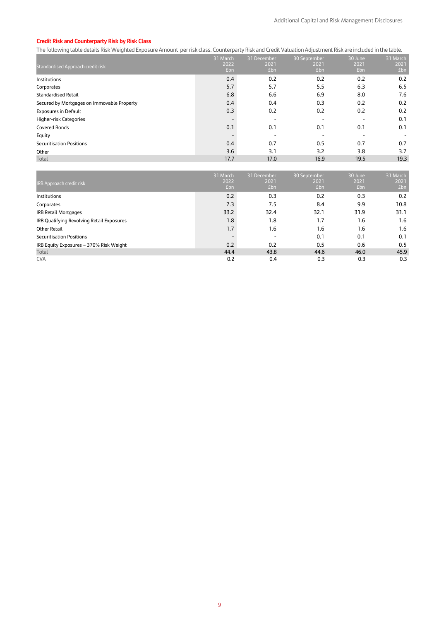### **Credit Risk and Counterparty Risk by Risk Class**

The following table details Risk Weighted Exposure Amount per risk class. Counterparty Risk and Credit Valuation Adjustment Risk are included in the table.

|                                            | 31 March    | 31 December | 30 September            | 30 June     | 31 March    |
|--------------------------------------------|-------------|-------------|-------------------------|-------------|-------------|
| Standardised Approach credit risk          | 2022<br>£bn | 2021<br>£bn | 2021<br>f <sub>bn</sub> | 2021<br>fbn | 2021<br>£bn |
| Institutions                               | 0.4         | 0.2         | 0.2                     | 0.2         | 0.2         |
| Corporates                                 | 5.7         | 5.7         | 5.5                     | 6.3         | 6.5         |
| <b>Standardised Retail</b>                 | 6.8         | 6.6         | 6.9                     | 8.0         | 7.6         |
| Secured by Mortgages on Immovable Property | 0.4         | 0.4         | 0.3                     | 0.2         | 0.2         |
| <b>Exposures in Default</b>                | 0.3         | 0.2         | 0.2                     | 0.2         | 0.2         |
| Higher-risk Categories                     |             |             |                         |             | 0.1         |
| <b>Covered Bonds</b>                       | 0.1         | 0.1         | 0.1                     | 0.1         | 0.1         |
| Equity                                     |             |             |                         |             |             |
| <b>Securitisation Positions</b>            | 0.4         | 0.7         | 0.5                     | 0.7         | 0.7         |
| Other                                      | 3.6         | 3.1         | 3.2                     | 3.8         | 3.7         |
| Total                                      | 17.7        | 17.0        | 16.9                    | 19.5        | 19.3        |

| IRB Approach credit risk                  | 31 March<br>2022<br>£ <sub>bn</sub> | 31 December<br>2021<br>£bn | 30 September<br>2021<br>Ebn | 30 June<br>2021<br>£bn | 31 March<br>2021<br>£bn |
|-------------------------------------------|-------------------------------------|----------------------------|-----------------------------|------------------------|-------------------------|
| Institutions                              | 0.2                                 | 0.3                        | 0.2                         | 0.3                    | 0.2                     |
| Corporates                                | 7.3                                 | 7.5                        | 8.4                         | 9.9                    | 10.8                    |
| IRB Retail Mortgages                      | 33.2                                | 32.4                       | 32.1                        | 31.9                   | 31.1                    |
| IRB Qualifying Revolving Retail Exposures | 1.8                                 | 1.8                        | 1.7                         | 1.6                    | 1.6                     |
| Other Retail                              | 1.7                                 | 1.6                        | 1.6                         | 1.6                    | 1.6                     |
| <b>Securitisation Positions</b>           |                                     | -                          | 0.1                         | 0.1                    | 0.1                     |
| IRB Equity Exposures - 370% Risk Weight   | 0.2                                 | 0.2                        | 0.5                         | 0.6                    | 0.5                     |
| Total                                     | 44.4                                | 43.8                       | 44.6                        | 46.0                   | 45.9                    |
| <b>CVA</b>                                | 0.2                                 | 0.4                        | 0.3                         | 0.3                    | 0.3                     |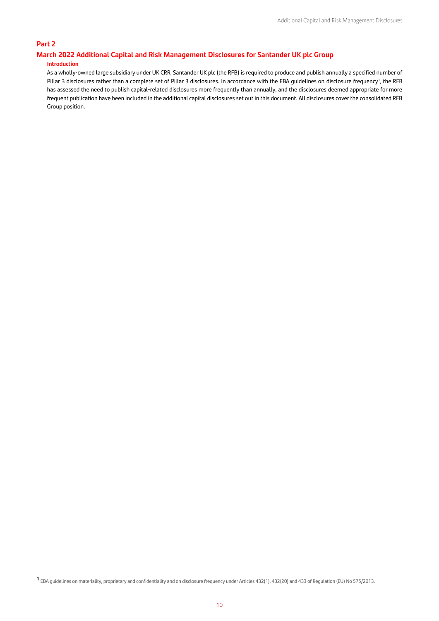## **Part 2**

# **March 2022 Additional Capital and Risk Management Disclosures for Santander UK plc Group**

## **Introduction**

As a wholly-owned large subsidiary under UK CRR, Santander UK plc (the RFB) is required to produce and publish annually a specified number of Pillar 3 disclosures rather than a complete set of Pillar 3 disclosures. In accordance with the EBA guidelines on disclosure frequency<sup>1</sup>, the RFB has assessed the need to publish capital-related disclosures more frequently than annually, and the disclosures deemed appropriate for more frequent publication have been included in the additional capital disclosures set out in this document. All disclosures cover the consolidated RFB Group position.

**<sup>1</sup>** EBA guidelines on materiality, proprietary and confidentiality and on disclosure frequency under Articles 432(1), 432(20) and 433 of Regulation (EU) No 575/2013.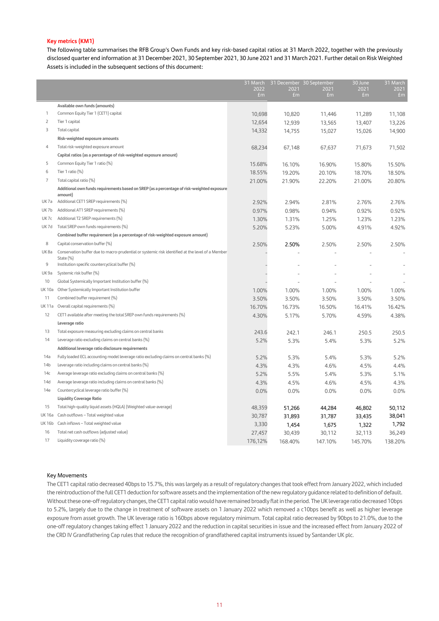### **Key metrics (KM1)**

The following table summarises the RFB Group's Own Funds and key risk-based capital ratios at 31 March 2022, together with the previously disclosed quarter end information at 31 December 2021, 30 September 2021, 30 June 2021 and 31 March 2021. Further detail on Risk Weighted Assets is included in the subsequent sections of this document:

|                  |                                                                                                               | 31 March               |                        | 31 December 30 September | 30 June    | 31 March               |
|------------------|---------------------------------------------------------------------------------------------------------------|------------------------|------------------------|--------------------------|------------|------------------------|
|                  |                                                                                                               | 2022<br>f <sub>m</sub> | 2021<br>f <sub>m</sub> | 2021<br>f <sub>m</sub>   | 2021<br>Em | 2021<br>f <sub>m</sub> |
|                  |                                                                                                               |                        |                        |                          |            |                        |
|                  | Available own funds (amounts)                                                                                 |                        |                        |                          |            |                        |
| 1                | Common Equity Tier 1 (CET1) capital                                                                           | 10,698                 | 10,820                 | 11,446                   | 11,289     | 11,108                 |
| $\overline{2}$   | Tier 1 capital                                                                                                | 12,654                 | 12,939                 | 13,565                   | 13,407     | 13,226                 |
| 3                | Total capital                                                                                                 | 14,332                 | 14,755                 | 15,027                   | 15,026     | 14,900                 |
|                  | Risk-weighted exposure amounts                                                                                |                        |                        |                          |            |                        |
| 4                | Total risk-weighted exposure amount                                                                           | 68,234                 | 67,148                 | 67,637                   | 71,673     | 71,502                 |
|                  | Capital ratios (as a percentage of risk-weighted exposure amount)                                             |                        |                        |                          |            |                        |
| 5                | Common Equity Tier 1 ratio (%)                                                                                | 15.68%                 | 16.10%                 | 16.90%                   | 15.80%     | 15.50%                 |
| 6                | Tier 1 ratio (%)                                                                                              | 18.55%                 | 19.20%                 | 20.10%                   | 18.70%     | 18.50%                 |
| $\overline{7}$   | Total capital ratio (%)                                                                                       | 21.00%                 | 21.90%                 | 22.20%                   | 21.00%     | 20.80%                 |
|                  | Additional own funds requirements based on SREP (as a percentage of risk-weighted exposure<br>amount)         |                        |                        |                          |            |                        |
| UK7a             | Additional CET1 SREP requirements (%)                                                                         | 2.92%                  | 2.94%                  | 2.81%                    | 2.76%      | 2.76%                  |
| UK7b             | Additional AT1 SREP requirements (%)                                                                          | 0.97%                  | 0.98%                  | 0.94%                    | 0.92%      | 0.92%                  |
| UK7c             | Additional T2 SREP requirements (%)                                                                           | 1.30%                  | 1.31%                  | 1.25%                    | 1.23%      | 1.23%                  |
| UK7d             | Total SREP own funds requirements (%)                                                                         | 5.20%                  | 5.23%                  | 5.00%                    | 4.91%      | 4.92%                  |
|                  | Combined buffer requirement (as a percentage of risk-weighted exposure amount)                                |                        |                        |                          |            |                        |
| 8                | Capital conservation buffer (%)                                                                               | 2.50%                  | 2.50%                  | 2.50%                    | 2.50%      | 2.50%                  |
| UK8a             | Conservation buffer due to macro-prudential or systemic risk identified at the level of a Member<br>State (%) |                        |                        |                          |            |                        |
| 9                | Institution specific countercyclical buffer (%)                                                               |                        |                        |                          |            |                        |
| UK <sub>9a</sub> | Systemic risk buffer (%)                                                                                      |                        |                        |                          |            |                        |
| 10               | Global Systemically Important Institution buffer (%)                                                          |                        |                        |                          |            |                        |
| <b>UK10a</b>     | Other Systemically Important Institution buffer                                                               | 1.00%                  | 1.00%                  | 1.00%                    | 1.00%      | 1.00%                  |
| 11               | Combined buffer requirement (%)                                                                               | 3.50%                  | 3.50%                  | 3.50%                    | 3.50%      | 3.50%                  |
| <b>UK11a</b>     | Overall capital requirements (%)                                                                              | 16.70%                 | 16.73%                 | 16.50%                   | 16.41%     | 16.42%                 |
| 12               | CET1 available after meeting the total SREP own funds requirements (%)                                        | 4.30%                  | 5.17%                  | 5.70%                    | 4.59%      | 4.38%                  |
|                  | Leverage ratio                                                                                                |                        |                        |                          |            |                        |
| 13               | Total exposure measuring excluding claims on central banks                                                    | 243.6                  | 242.1                  | 246.1                    | 250.5      | 250.5                  |
| 14               | Leverage ratio excluding claims on central banks (%)                                                          | 5.2%                   | 5.3%                   | 5.4%                     | 5.3%       | 5.2%                   |
|                  | Additional leverage ratio disclosure requirements                                                             |                        |                        |                          |            |                        |
| 14a              | Fully loaded ECL accounting model leverage ratio excluding claims on central banks (%)                        | 5.2%                   | 5.3%                   | 5.4%                     | 5.3%       | 5.2%                   |
| 14 <sub>b</sub>  | Leverage ratio including claims on central banks (%)                                                          | 4.3%                   | 4.3%                   | 4.6%                     | 4.5%       | 4.4%                   |
| 14c              | Average leverage ratio excluding claims on central banks (%)                                                  | 5.2%                   | 5.5%                   | 5.4%                     | 5.3%       | 5.1%                   |
| 14d              | Average leverage ratio including claims on central banks (%)                                                  | 4.3%                   | 4.5%                   | 4.6%                     | 4.5%       | 4.3%                   |
| 14e              | Countercyclical leverage ratio buffer (%)                                                                     | 0.0%                   | 0.0%                   | 0.0%                     | 0.0%       | 0.0%                   |
|                  | <b>Liquidity Coverage Ratio</b>                                                                               |                        |                        |                          |            |                        |
| 15               | Total high-quality liquid assets (HQLA) (Weighted value-average)                                              | 48,359                 | 51,266                 | 44,284                   | 46,802     | 50,112                 |
| <b>UK16a</b>     | Cash outflows - Total weighted value                                                                          | 30,787                 | 31,893                 | 31,787                   | 33,435     | 38,041                 |
| <b>UK16b</b>     | Cash inflows - Total weighted value                                                                           | 3,330                  | 1,454                  | 1,675                    | 1,322      | 1,792                  |
| 16               | Total net cash outflows (adjusted value)                                                                      | 27,457                 | 30,439                 | 30,112                   | 32,113     | 36,249                 |
| 17               | Liquidity coverage ratio (%)                                                                                  | 176,12%                | 168.40%                | 147.10%                  | 145.70%    | 138.20%                |
|                  |                                                                                                               |                        |                        |                          |            |                        |

#### Key Movements

The CET1 capital ratio decreased 40bps to 15.7%, this was largely as a result of regulatory changes that took effect from January 2022, which included the reintroduction of the full CET1 deduction for software assets and the implementation of the new regulatory guidance related to definition of default. Without these one-off regulatory changes, the CET1 capital ratio would have remained broadly flatin the period. The UK leverage ratio decreased 10bps to 5.2%, largely due to the change in treatment of software assets on 1 January 2022 which removed a c10bps benefit as well as higher leverage exposure from asset growth. The UK leverage ratio is 160bps above regulatory minimum. Total capital ratio decreased by 90bps to 21.0%, due to the one-off regulatory changes taking effect 1 January 2022 and the reduction in capital securities in issue and the increased effect from January 2022 of the CRD IV Grandfathering Cap rules that reduce the recognition of grandfathered capital instruments issued by Santander UK plc.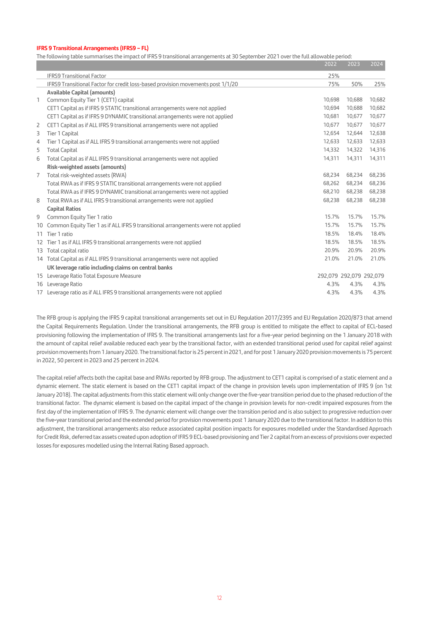### **IFRS 9 Transitional Arrangements (IFRS9 – FL)**

The following table summarises the impact of IFRS 9 transitional arrangements at 30 September 2021 over the full allowable period:

|   |                                                                                     | 2022   | 2023                    | 2024   |
|---|-------------------------------------------------------------------------------------|--------|-------------------------|--------|
|   | <b>IFRS9 Transitional Factor</b>                                                    | 25%    |                         |        |
|   | IFRS9 Transitional Factor for credit loss-based provision movements post 1/1/20     | 75%    | 50%                     | 25%    |
|   | <b>Available Capital (amounts)</b>                                                  |        |                         |        |
| 1 | Common Equity Tier 1 (CET1) capital                                                 | 10,698 | 10,688                  | 10,682 |
|   | CET1 Capital as if IFRS 9 STATIC transitional arrangements were not applied         | 10,694 | 10,688                  | 10,682 |
|   | CET1 Capital as if IFRS 9 DYNAMIC transitional arrangements were not applied        | 10,681 | 10,677                  | 10,677 |
| 2 | CET1 Capital as if ALL IFRS 9 transitional arrangements were not applied            | 10,677 | 10,677                  | 10,677 |
| 3 | Tier 1 Capital                                                                      | 12,654 | 12,644                  | 12,638 |
| 4 | Tier 1 Capital as if ALL IFRS 9 transitional arrangements were not applied          | 12,633 | 12,633                  | 12,633 |
| 5 | <b>Total Capital</b>                                                                | 14,332 | 14,322                  | 14,316 |
| 6 | Total Capital as if ALL IFRS 9 transitional arrangements were not applied           | 14,311 | 14,311                  | 14,311 |
|   | Risk-weighted assets (amounts)                                                      |        |                         |        |
| 7 | Total risk-weighted assets (RWA)                                                    | 68,234 | 68.234                  | 68,236 |
|   | Total RWA as if IFRS 9 STATIC transitional arrangements were not applied            | 68,262 | 68,234                  | 68,236 |
|   | Total RWA as if IFRS 9 DYNAMIC transitional arrangements were not applied           | 68,210 | 68,238                  | 68,238 |
| 8 | Total RWA as if ALL IFRS 9 transitional arrangements were not applied               | 68,238 | 68,238                  | 68,238 |
|   | <b>Capital Ratios</b>                                                               |        |                         |        |
| 9 | Common Equity Tier 1 ratio                                                          | 15.7%  | 15.7%                   | 15.7%  |
|   | 10 Common Equity Tier 1 as if ALL IFRS 9 transitional arrangements were not applied | 15.7%  | 15.7%                   | 15.7%  |
|   | 11 Tier 1 ratio                                                                     | 18.5%  | 18.4%                   | 18.4%  |
|   | 12 Tier 1 as if ALL IFRS 9 transitional arrangements were not applied               | 18.5%  | 18.5%                   | 18.5%  |
|   | 13 Total capital ratio                                                              | 20.9%  | 20.9%                   | 20.9%  |
|   | 14 Total Capital as if ALL IFRS 9 transitional arrangements were not applied        | 21.0%  | 21.0%                   | 21.0%  |
|   | UK leverage ratio including claims on central banks                                 |        |                         |        |
|   | 15 Leverage Ratio Total Exposure Measure                                            |        | 292,079 292,079 292,079 |        |
|   | 16 Leverage Ratio                                                                   | 4.3%   | 4.3%                    | 4.3%   |
|   | 17 Leverage ratio as if ALL IFRS 9 transitional arrangements were not applied       | 4.3%   | 4.3%                    | 4.3%   |

The RFB group is applying the IFRS 9 capital transitional arrangements set out in EU Regulation 2017/2395 and EU Regulation 2020/873 that amend the Capital Requirements Regulation. Under the transitional arrangements, the RFB group is entitled to mitigate the effect to capital of ECL-based provisioning following the implementation of IFRS 9. The transitional arrangements last for a five-year period beginning on the 1 January 2018 with the amount of capital relief available reduced each year by the transitional factor, with an extended transitional period used for capital relief against provision movements from 1 January 2020. The transitional factor is 25 percent in 2021, and for post 1 January 2020 provision movements is 75 percent in 2022, 50 percent in 2023 and 25 percent in 2024.

The capital relief affects both the capital base and RWAs reported by RFB group. The adjustment to CET1 capital is comprised of a static element and a dynamic element. The static element is based on the CET1 capital impact of the change in provision levels upon implementation of IFRS 9 (on 1st January 2018). The capital adjustments from this static element will only change over the five-year transition period due to the phased reduction of the transitional factor. The dynamic element is based on the capital impact of the change in provision levels for non-credit impaired exposures from the first day of the implementation of IFRS 9. The dynamic element will change over the transition period and is also subject to progressive reduction over the five-year transitional period and the extended period for provision movements post 1 January 2020 due to the transitional factor. In addition to this adjustment, the transitional arrangements also reduce associated capital position impacts for exposures modelled under the Standardised Approach for Credit Risk, deferred tax assets created upon adoption of IFRS 9 ECL-based provisioning and Tier 2 capital from an excess of provisions over expected losses for exposures modelled using the Internal Rating Based approach.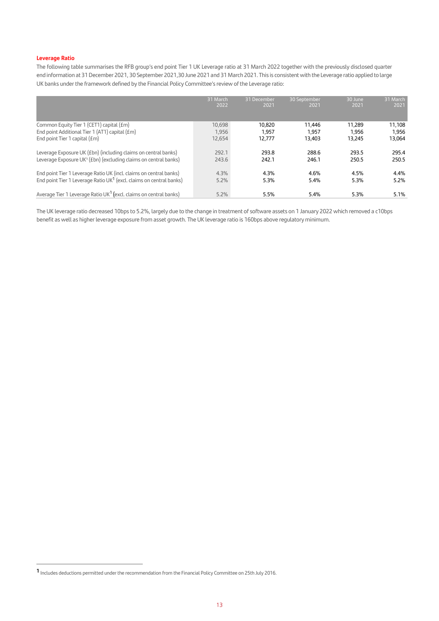### **Leverage Ratio**

The following table summarises the RFB group's end point Tier 1 UK Leverage ratio at 31 March 2022 together with the previously disclosed quarter end information at 31 December 2021, 30 September 2021,30 June 2021 and 31 March 2021. This is consistent with the Leverage ratio applied to large UK banks under the framework defined by the Financial Policy Committee's review of the Leverage ratio:

|                                                                                 | 31 March<br>2022 | 31 December<br>2021 | 30 September<br>2021 | 30 June<br>2021 | 31 March<br>2021 |
|---------------------------------------------------------------------------------|------------------|---------------------|----------------------|-----------------|------------------|
|                                                                                 |                  |                     |                      |                 |                  |
| Common Equity Tier 1 (CET1) capital (£m)                                        | 10,698           | 10.820              | 11.446               | 11.289          | 11,108           |
| End point Additional Tier 1 (AT1) capital (£m)                                  | 1,956            | 1.957               | 1.957                | 1.956           | 1,956            |
| End point Tier 1 capital $(fm)$                                                 | 12,654           | 12.777              | 13.403               | 13.245          | 13,064           |
| Leverage Exposure UK (£bn) (including claims on central banks)                  | 292.1            | 293.8               | 288.6                | 293.5           | 295.4            |
| Leverage Exposure UK <sup>1</sup> (£bn) (excluding claims on central banks)     | 243.6            | 242.1               | 246.1                | 250.5           | 250.5            |
| End point Tier 1 Leverage Ratio UK (incl. claims on central banks)              | 4.3%             | 4.3%                | 4.6%                 | 4.5%            | 4.4%             |
| End point Tier 1 Leverage Ratio UK <sup>1</sup> (excl. claims on central banks) | 5.2%             | 5.3%                | 5.4%                 | 5.3%            | 5.2%             |
| Average Tier 1 Leverage Ratio UK <sup>1</sup> (excl. claims on central banks)   | 5.2%             | 5.5%                | 5.4%                 | 5.3%            | 5.1%             |

The UK leverage ratio decreased 10bps to 5.2%, largely due to the change in treatment of software assets on 1 January 2022 which removed a c10bps benefit as well as higher leverage exposure from asset growth. The UK leverage ratio is 160bps above regulatory minimum.

**<sup>1</sup>** Includes deductions permitted under the recommendation from the Financial Policy Committee on 25th July 2016.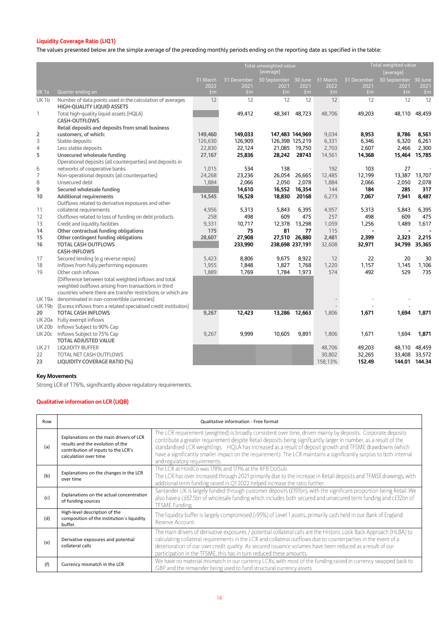# **Liquidity Coverage Ratio (LIQ1)**

The values presented below are the simple average of the preceding monthly periods ending on the reporting date as specified in the table:

|                  |                                                                                                | Total weighted value<br>Total unweighted value<br>(average)<br>(average) |                        |                               |            |            |             |                      |                        |
|------------------|------------------------------------------------------------------------------------------------|--------------------------------------------------------------------------|------------------------|-------------------------------|------------|------------|-------------|----------------------|------------------------|
|                  |                                                                                                | 31 March                                                                 | 31 December            | 30 September 30 June 31 March |            |            | 31 December | 30 September 30 June |                        |
| <b>UK1a</b>      | Quarter ending on                                                                              | 2022<br>fm                                                               | 2021<br>f <sub>m</sub> | 2021<br>fm                    | 2021<br>Em | 2022<br>Em | 2021<br>Em  | 2021<br>Em           | 2021<br>f <sub>m</sub> |
| UK <sub>1b</sub> | Number of data points used in the calculation of averages<br><b>HIGH-QUALITY LIQUID ASSETS</b> | 12                                                                       | 12                     | 12                            | 12         | 12         | 12          | 12                   | 12                     |
| 1                | Total high-quality liquid assets (HQLA)<br><b>CASH-OUTFLOWS</b>                                |                                                                          | 49,412                 | 48,341                        | 48,723     | 48,706     | 49,203      | 48,110               | 48,459                 |
|                  | Retail deposits and deposits from small business                                               |                                                                          |                        |                               |            |            |             |                      |                        |
| 2                | customers, of which:                                                                           | 149,460                                                                  | 149,033                | 147,483 144,969               |            | 9,034      | 8,953       | 8,786                | 8,561                  |
| 3                | Stable deposits                                                                                | 126,630                                                                  | 126,909                | 126,398 125,219               |            | 6,331      | 6,346       | 6,320                | 6,261                  |
| $\overline{4}$   | Less stable deposits                                                                           | 22,830                                                                   | 22,124                 | 21,085                        | 19,750     | 2,703      | 2,607       | 2,466                | 2,300                  |
| 5                | Unsecured wholesale funding                                                                    | 27,167                                                                   | 25,836                 | 28,242                        | 28743      | 14,561     | 14,368      | 15,464               | 15,785                 |
|                  | Operational deposits (all counterparties) and deposits in                                      |                                                                          |                        |                               |            |            |             |                      |                        |
| 6                | networks of cooperative banks                                                                  | 1,015                                                                    | 534                    | 138                           | $\sim$     | 192        | 103         | 27                   | J.                     |
| 7                | Non-operational deposits (all counterparties)                                                  | 24,268                                                                   | 23,236                 | 26,054                        | 26,665     | 12,485     | 12,199      | 13,387               | 13,707                 |
| 8                | Unsecured debt                                                                                 | 1,884                                                                    | 2,066                  | 2,050                         | 2,078      | 1,884      | 2,066       | 2,050                | 2,078                  |
| 9                | Secured wholesale funding                                                                      |                                                                          | 14,610                 | 16,552                        | 16,354     | 144        | 184         | 285                  | 317                    |
| 10               | <b>Additional requirements</b>                                                                 | 14,545                                                                   | 16,528                 | 18,830                        | 20168      | 6,273      | 7,067       | 7,941                | 8,487                  |
|                  | Outflows related to derivative exposures and other                                             |                                                                          |                        |                               |            |            |             |                      |                        |
| 11               | collateral requirements                                                                        | 4,956                                                                    | 5,313                  | 5,843                         | 6,395      | 4,957      | 5,313       | 5,843                | 6,395                  |
| 12               | Outflows related to loss of funding on debt products                                           | 258                                                                      | 498                    | 609                           | 475        | 257        | 498         | 609                  | 475                    |
| 13               | Credit and liquidity facilities                                                                | 9,331                                                                    | 10,717                 | 12,378                        | 13,298     | 1,059      | 1,256       | 1,489                | 1,617                  |
| 14               | Other contractual funding obligations                                                          | 175                                                                      | 75                     | 81                            | 77         | 115        |             |                      |                        |
| 15               | Other contingent funding obligations                                                           | 28,607                                                                   | 27,908                 | 27,510                        | 26,880     | 2,481      | 2,399       | 2,323                | 2,215                  |
| 16               | <b>TOTAL CASH OUTFLOWS</b>                                                                     |                                                                          | 233,990                | 238,698 237,191               |            | 32,608     | 32,971      | 34,799               | 35,365                 |
|                  | <b>CASH-INFLOWS</b>                                                                            |                                                                          |                        |                               |            |            |             |                      |                        |
| 17               | Secured lending (e.g reverse repos)                                                            | 5,423                                                                    | 8,806                  | 9,675                         | 8,922      | 12         | 22          | 20                   | 30                     |
| 18               | Inflows from fully performing exposures                                                        | 1,955                                                                    | 1,848                  | 1,827                         | 1,768      | 1,220      | 1.157       | 1,145                | 1,106                  |
| 19               | Other cash inflows                                                                             | 1,889                                                                    | 1,769                  | 1,784                         | 1,973      | 574        | 492         | 529                  | 735                    |
|                  | (Difference between total weighted inflows and total                                           |                                                                          |                        |                               |            |            |             |                      |                        |
|                  | weighted outflows arising from transactions in third                                           |                                                                          |                        |                               |            |            |             |                      |                        |
|                  | countries where there are transfer restrictions or which are                                   |                                                                          |                        |                               |            |            |             |                      |                        |
| <b>UK19a</b>     | denominated in non-convertible currencies)                                                     |                                                                          |                        |                               |            |            |             |                      |                        |
| <b>UK19b</b>     | (Excess inflows from a related specialised credit institution)                                 |                                                                          |                        |                               |            |            |             |                      |                        |
| 20               | <b>TOTAL CASH INFLOWS</b>                                                                      | 9,267                                                                    | 12,423                 | 13,286                        | 12,663     | 1,806      | 1,671       | 1,694                | 1,871                  |
| <b>UK20a</b>     | Fully exempt inflows                                                                           |                                                                          |                        |                               |            |            |             |                      |                        |
| <b>UK20b</b>     | Inflows Subject to 90% Cap                                                                     |                                                                          |                        |                               |            |            |             |                      |                        |
| <b>UK20c</b>     | Inflows Subject to 75% Cap                                                                     | 9,267                                                                    | 9,999                  | 10,605                        | 9,891      | 1,806      | 1,671       | 1,694                | 1,871                  |
|                  | <b>TOTAL ADJUSTED VALUE</b>                                                                    |                                                                          |                        |                               |            |            |             |                      |                        |
| <b>UK21</b>      | <b>LIQUIDITY BUFFER</b>                                                                        |                                                                          |                        |                               |            | 48,706     | 49,203      | 48,110               | 48,459                 |
| 22               | TOTAL NET CASH OUTFLOWS                                                                        |                                                                          |                        |                               |            | 30,802     | 32,265      | 33,408               | 33,572                 |
| 23               | <b>LIQUIDITY COVERAGE RATIO (%)</b>                                                            |                                                                          |                        |                               |            | 158,13%    | 152.49      |                      | 144.01 144.34          |

# **Key Movements**

Strong LCR of 176%, significantly above regulatory requirements.

# **Qualitative information on LCR (LIQB)**

| Row | Qualitative information - Free format                                                                                                       |                                                                                                                                                                                                                                                                                                                                                                                                                                                                                                       |  |  |  |
|-----|---------------------------------------------------------------------------------------------------------------------------------------------|-------------------------------------------------------------------------------------------------------------------------------------------------------------------------------------------------------------------------------------------------------------------------------------------------------------------------------------------------------------------------------------------------------------------------------------------------------------------------------------------------------|--|--|--|
| (a) | Explanations on the main drivers of LCR<br>results and the evolution of the<br>contribution of inputs to the LCR's<br>calculation over time | The LCR requirement (weighted) is broadly consistent over time, driven mainly by deposits. Corporate deposits<br>contribute a greater requirement despite Retail deposits being significantly larger in number, as a result of the<br>standardised LCR weightings. HQLA has increased as a result of deposit growth and TFSME drawdowns (which<br>have a significantly smaller impact on the requirement). The LCR maintains a significantly surplus to both internal<br>and regulatory requirements. |  |  |  |
| (b) | Explanations on the changes in the LCR<br>over time                                                                                         | The LCR at HoldCo was 178% and 171% at the REB DolSub.<br>The LCR has over increased through 2021 primarily due to the increase in Retail deposits and TFMSE drawings, with<br>additional term funding raised in Q1 2022 helped increase the ratio further.                                                                                                                                                                                                                                           |  |  |  |
| (c) | Explanations on the actual concentration<br>of funding sources                                                                              | Santander UK is largely funded through customer deposits (£191bn), with the significant proportion being Retail. We<br>also have a c£67.5bn of wholesale funding which includes both secured and unsecured term funding and c£32bn of<br><b>TFSME Funding.</b>                                                                                                                                                                                                                                        |  |  |  |
| (d) | High-level description of the<br>composition of the institution's liquidity<br>buffer.                                                      | The liquidity buffer is largely compromised (>95%) of Level 1 assets, primarily cash held in our Bank of England<br>Reserve Account.                                                                                                                                                                                                                                                                                                                                                                  |  |  |  |
| (e) | Derivative exposures and potential<br>collateral calls                                                                                      | The main drivers of derivative exposures / potential collateral calls are the Historic Look Back Approach (HLBA) to<br>calculating collateral requirements in the LCR and collateral outflows due to counterparties in the event of a<br>deterioration of our own credit quality. As secured issuance volumes have been reduced as a result of our<br>participation in the TFSME, this has in turn reduced these amounts.                                                                             |  |  |  |
| (f) | Currency mismatch in the LCR                                                                                                                | We have no material mismatch in our currency LCRs, with most of the funding raised in currency swapped back to<br>GBP and the remainder being used to fund structural currency assets.                                                                                                                                                                                                                                                                                                                |  |  |  |